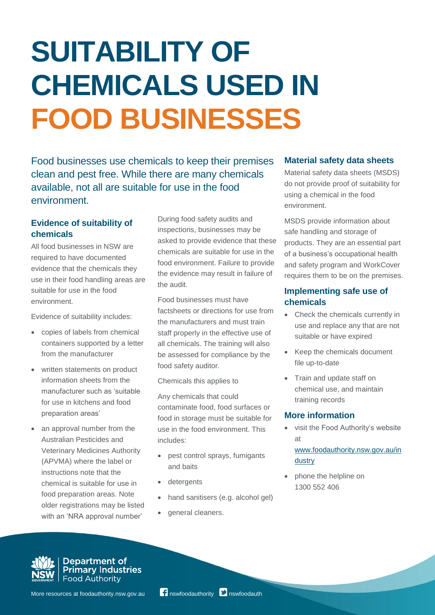# **SUITABILITY OF CHEMICALS USED IN FOOD BUSINESSES**

Food businesses use chemicals to keep their premises clean and pest free. While there are many chemicals available, not all are suitable for use in the food environment.

## **Evidence of suitability of chemicals**

All food businesses in NSW are required to have documented evidence that the chemicals they use in their food handling areas are suitable for use in the food environment.

Evidence of suitability includes:

- copies of labels from chemical containers supported by a letter from the manufacturer
- written statements on product information sheets from the manufacturer such as 'suitable for use in kitchens and food preparation areas'
- an approval number from the Australian Pesticides and Veterinary Medicines Authority (APVMA) where the label or instructions note that the chemical is suitable for use in food preparation areas. Note older registrations may be listed with an 'NRA approval number'

During food safety audits and inspections, businesses may be asked to provide evidence that these chemicals are suitable for use in the food environment. Failure to provide the evidence may result in failure of the audit.

Food businesses must have factsheets or directions for use from the manufacturers and must train staff properly in the effective use of all chemicals. The training will also be assessed for compliance by the food safety auditor.

Chemicals this applies to

Any chemicals that could contaminate food, food surfaces or food in storage must be suitable for use in the food environment. This includes:

- pest control sprays, fumigants and baits
- detergents
- hand sanitisers (e.g. alcohol gel)
- general cleaners.

#### **Material safety data sheets**

Material safety data sheets (MSDS) do not provide proof of suitability for using a chemical in the food environment.

MSDS provide information about safe handling and storage of products. They are an essential part of a business's occupational health and safety program and WorkCover requires them to be on the premises.

### **Implementing safe use of chemicals**

- Check the chemicals currently in use and replace any that are not suitable or have expired
- Keep the chemicals document file up-to-date
- Train and update staff on chemical use, and maintain training records

### **More information**

 visit the Food Authority's website at

[www.foodauthority.nsw.gov.au/in](http://www.foodauthority.nsw.gov.au/industry) [dustry](http://www.foodauthority.nsw.gov.au/industry)

 phone the helpline on 1300 552 406



Department of<br>Primary Industries **Food Authority**